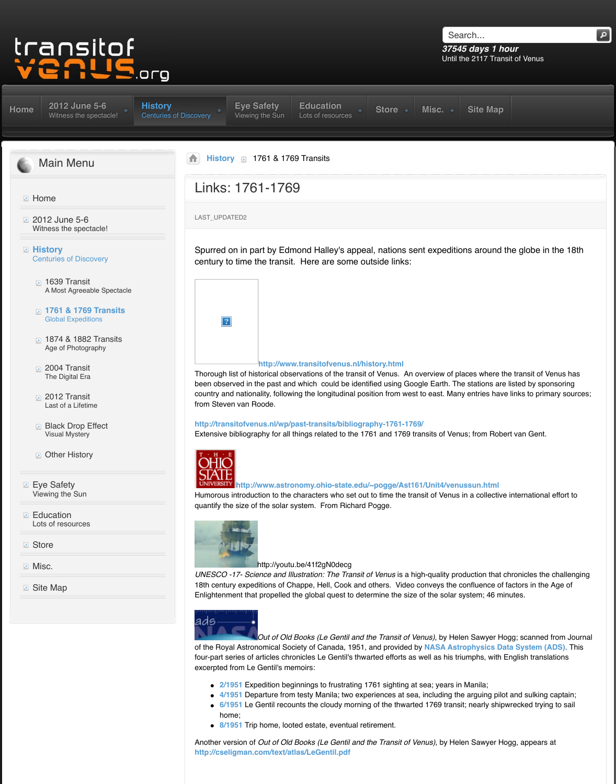- A Most Agreeable Spectacle
- **1761 & 1769 Transits** Global Expeditions
- **1874 & 1882 Transits** Age of Photography
- 2004 Transit The Digital Era
- [2012 Transit](http://www.transitofvenus.org/june2012) Last of a Lifetime
- **Black Drop Effect** Visual Mystery
- **Deal** Other History
- **[Eye Safety](http://www.transitofvenus.org/)** Viewing the Sun
- **Education** [Lots of resources](http://www.transitofvenus.org/june2012)
- **[Store](http://www.transitofvenus.org/history)**
- **Misc.**
- [Site Map](http://www.transitofvenus.org/history/1639-transit)

## **http://www.transitofvenus.nl/histor**

Thorough list of historical observations of the transit of Venus been observed in the past and which could be identified [country an](http://www.transitofvenus.org/history)[d nationality, follow](http://www.transitofvenus.org/june2012/eye-safety)[ing the longitudinal pos](http://www.transitofvenus.org/education)ition from Steven van Roode.

**http://transitofvenus.nl/wp/past-transits/bibliography-1761-1769/** Extensive bibliography for all things related to the 1761 and 1769



## **http://www.astronomy.ohio-state.edu/~po**

Humorous introduction to the characters who set out to time quantify the size of the solar system. From Richard Pogg



## http://youtu.be/41f2gN0decg

UNESCO -17- Science and Illustration: The Transit of Ve 18th century expeditions of Chappe, Hell, Cook and othe Enlightenment that propelled the global quest to determine

ads

*Out of Old Books (Le Gentil and the Transit of Old Books (Le Gentil and the Transition Transition Integration* of the Royal Astronomical Society of Canada, 1951, and four-part series of articles chronicles Le Gentil's thwarted excerpted from Le Gentil's memoirs:

- **2/1951** Expedition beginnings to frustrating 1761
- **4/1951** Departure from testy Manila; two experiences
- **6/1951** Le Gentil recounts the cloudy morning of the that is nearly shipware. home;
- **8/1951** Trip home, looted estate, eventual retirem

Another version of *[Out of Old Books \(Le Gentil and the Transit of Venus\)](http://www.astronomy.ohio-state.edu/%7Epogge/Ast161/Unit4/venussun.html)*, and the Melen Sampears and the Melen S **http://cseligman.com/text/atlas/LeGentil.pdf**